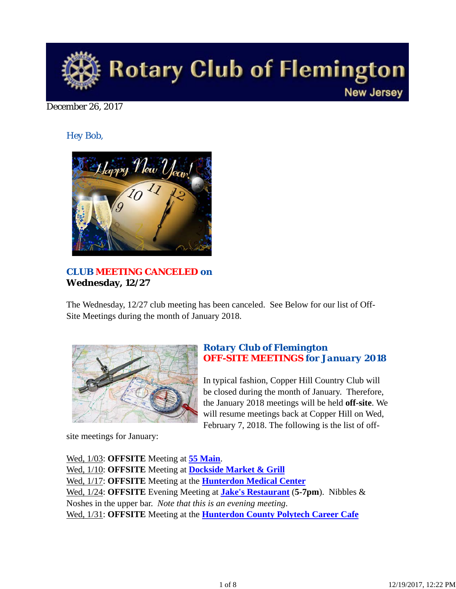

December 26, 2017

## *Hey Bob,*



*CLUB MEETING CANCELED on* **Wednesday, 12/27**

The Wednesday, 12/27 club meeting has been canceled. See Below for our list of Off-Site Meetings during the month of January 2018.



site meetings for January:

### *Rotary Club of Flemington OFF-SITE MEETINGS for January 2018*

In typical fashion, Copper Hill Country Club will be closed during the month of January. Therefore, the January 2018 meetings will be held **off-site**. We will resume meetings back at Copper Hill on Wed, February 7, 2018. The following is the list of off-

Wed, 1/03: **OFFSITE** Meeting at **55 Main**. Wed, 1/10: **OFFSITE** Meeting at **Dockside Market & Grill** Wed, 1/17: **OFFSITE** Meeting at the **Hunterdon Medical Center** Wed, 1/24: **OFFSITE** Evening Meeting at **Jake's Restaurant** (**5-7pm**). Nibbles & Noshes in the upper bar. *Note that this is an evening meeting*. Wed, 1/31: **OFFSITE** Meeting at the **Hunterdon County Polytech Career Cafe**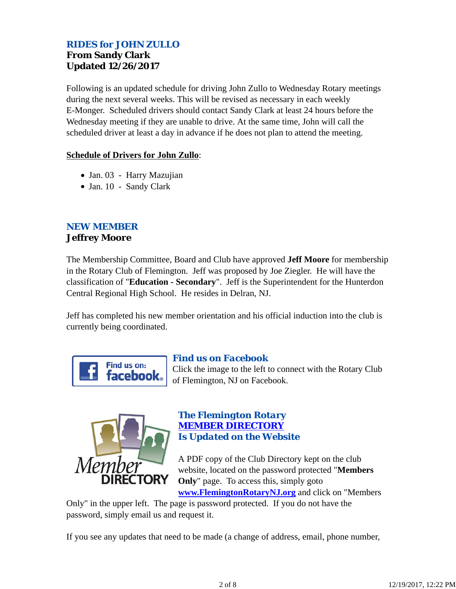## *RIDES for JOHN ZULLO* **From Sandy Clark Updated 12/26/2017**

Following is an updated schedule for driving John Zullo to Wednesday Rotary meetings during the next several weeks. This will be revised as necessary in each weekly E-Monger. Scheduled drivers should contact Sandy Clark at least 24 hours before the Wednesday meeting if they are unable to drive. At the same time, John will call the scheduled driver at least a day in advance if he does not plan to attend the meeting.

### **Schedule of Drivers for John Zullo**:

- Jan. 03 Harry Mazujian
- Jan. 10 Sandy Clark

## *NEW MEMBER* **Jeffrey Moore**

The Membership Committee, Board and Club have approved **Jeff Moore** for membership in the Rotary Club of Flemington. Jeff was proposed by Joe Ziegler. He will have the classification of "**Education - Secondary**". Jeff is the Superintendent for the Hunterdon Central Regional High School. He resides in Delran, NJ.

Jeff has completed his new member orientation and his official induction into the club is currently being coordinated.



## *Find us on Facebook*

Click the image to the left to connect with the Rotary Club of Flemington, NJ on Facebook.



## *The Flemington Rotary MEMBER DIRECTORY Is Updated on the Website*

A PDF copy of the Club Directory kept on the club website, located on the password protected "**Members Only**" page. To access this, simply goto **www.FlemingtonRotaryNJ.org** and click on "Members

Only" in the upper left. The page is password protected. If you do not have the password, simply email us and request it.

If you see any updates that need to be made (a change of address, email, phone number,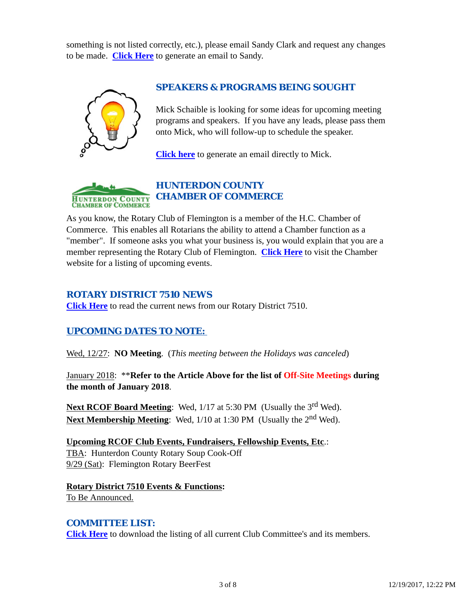something is not listed correctly, etc.), please email Sandy Clark and request any changes to be made. **Click Here** to generate an email to Sandy.



## *SPEAKERS & PROGRAMS BEING SOUGHT*

Mick Schaible is looking for some ideas for upcoming meeting programs and speakers. If you have any leads, please pass them onto Mick, who will follow-up to schedule the speaker.

**Click here** to generate an email directly to Mick.



As you know, the Rotary Club of Flemington is a member of the H.C. Chamber of Commerce. This enables all Rotarians the ability to attend a Chamber function as a "member". If someone asks you what your business is, you would explain that you are a member representing the Rotary Club of Flemington. **Click Here** to visit the Chamber website for a listing of upcoming events.

#### *ROTARY DISTRICT 7510 NEWS*

**Click Here** to read the current news from our Rotary District 7510.

## *UPCOMING DATES TO NOTE:*

Wed, 12/27: **NO Meeting**. (*This meeting between the Holidays was canceled*)

January 2018: \*\***Refer to the Article Above for the list of Off-Site Meetings during the month of January 2018**.

**Next RCOF Board Meeting:** Wed, 1/17 at 5:30 PM (Usually the 3<sup>rd</sup> Wed). Next Membership Meeting: Wed, 1/10 at 1:30 PM (Usually the 2<sup>nd</sup> Wed).

**Upcoming RCOF Club Events, Fundraisers, Fellowship Events, Etc**.: TBA: Hunterdon County Rotary Soup Cook-Off 9/29 (Sat): Flemington Rotary BeerFest

**Rotary District 7510 Events & Functions:** To Be Announced.

### *COMMITTEE LIST:*

**Click Here** to download the listing of all current Club Committee's and its members.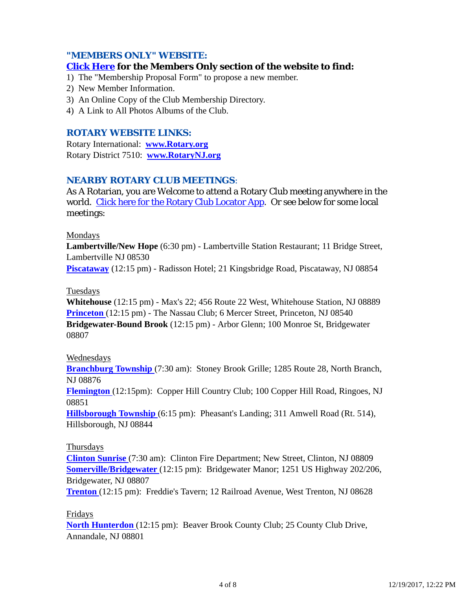#### *"MEMBERS ONLY" WEBSITE:*

#### **Click Here for the Members Only section of the website to find:**

- 1) The "Membership Proposal Form" to propose a new member.
- 2) New Member Information.
- 3) An Online Copy of the Club Membership Directory.
- 4) A Link to All Photos Albums of the Club.

#### *ROTARY WEBSITE LINKS:*

Rotary International: **www.Rotary.org** Rotary District 7510: **www.RotaryNJ.org**

#### *NEARBY ROTARY CLUB MEETINGS:*

As A Rotarian, you are Welcome to attend a Rotary Club meeting anywhere in the world. Click here for the Rotary Club Locator App. Or see below for some local meetings:

#### Mondays

**Lambertville/New Hope** (6:30 pm) - Lambertville Station Restaurant; 11 Bridge Street, Lambertville NJ 08530

**Piscataway** (12:15 pm) - Radisson Hotel; 21 Kingsbridge Road, Piscataway, NJ 08854

#### Tuesdays

**Whitehouse** (12:15 pm) - Max's 22; 456 Route 22 West, Whitehouse Station, NJ 08889 **Princeton** (12:15 pm) - The Nassau Club; 6 Mercer Street, Princeton, NJ 08540 **Bridgewater-Bound Brook** (12:15 pm) - Arbor Glenn; 100 Monroe St, Bridgewater 08807

#### Wednesdays

**Branchburg Township** (7:30 am): Stoney Brook Grille; 1285 Route 28, North Branch, NJ 08876

**Flemington** (12:15pm): Copper Hill Country Club; 100 Copper Hill Road, Ringoes, NJ 08851

**Hillsborough Township** (6:15 pm): Pheasant's Landing; 311 Amwell Road (Rt. 514), Hillsborough, NJ 08844

#### Thursdays

**Clinton Sunrise** (7:30 am): Clinton Fire Department; New Street, Clinton, NJ 08809 **Somerville/Bridgewater** (12:15 pm): Bridgewater Manor; 1251 US Highway 202/206, Bridgewater, NJ 08807

**Trenton** (12:15 pm): Freddie's Tavern; 12 Railroad Avenue, West Trenton, NJ 08628

#### Fridays

**North Hunterdon** (12:15 pm): Beaver Brook County Club; 25 County Club Drive, Annandale, NJ 08801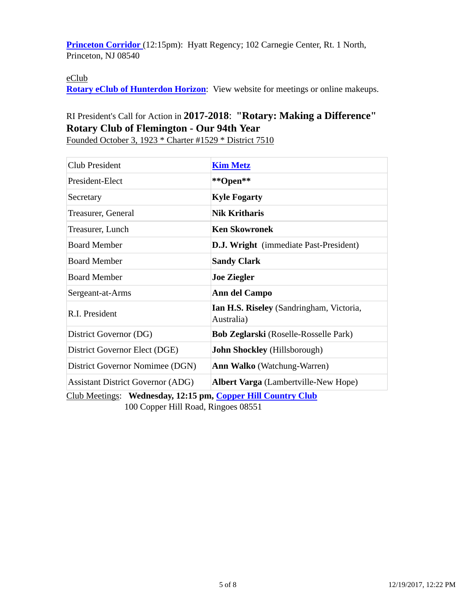Princeton Corridor (12:15pm): Hyatt Regency; 102 Carnegie Center, Rt. 1 North, Princeton, NJ 08540

#### eClub

**Rotary eClub of Hunterdon Horizon**: View website for meetings or online makeups.

# RI President's Call for Action in **2017-2018**: **"Rotary: Making a Difference" Rotary Club of Flemington - Our 94th Year**

Founded October 3, 1923 \* Charter #1529 \* District 7510

| <b>Club President</b>                    | <b>Kim Metz</b>                                        |  |  |
|------------------------------------------|--------------------------------------------------------|--|--|
| President-Elect                          | **Open**                                               |  |  |
| Secretary                                | <b>Kyle Fogarty</b>                                    |  |  |
| Treasurer, General                       | <b>Nik Kritharis</b>                                   |  |  |
| Treasurer, Lunch                         | <b>Ken Skowronek</b>                                   |  |  |
| <b>Board Member</b>                      | <b>D.J. Wright</b> (immediate Past-President)          |  |  |
| <b>Board Member</b>                      | <b>Sandy Clark</b>                                     |  |  |
| <b>Board Member</b>                      | <b>Joe Ziegler</b>                                     |  |  |
| Sergeant-at-Arms                         | <b>Ann del Campo</b>                                   |  |  |
| R.I. President                           | Ian H.S. Riseley (Sandringham, Victoria,<br>Australia) |  |  |
| District Governor (DG)                   | <b>Bob Zeglarski</b> (Roselle-Rosselle Park)           |  |  |
| District Governor Elect (DGE)            | <b>John Shockley</b> (Hillsborough)                    |  |  |
| District Governor Nomimee (DGN)          | <b>Ann Walko</b> (Watchung-Warren)                     |  |  |
| <b>Assistant District Governor (ADG)</b> | <b>Albert Varga</b> (Lambertville-New Hope)            |  |  |

Club Meetings: **Wednesday, 12:15 pm, Copper Hill Country Club** 100 Copper Hill Road, Ringoes 08551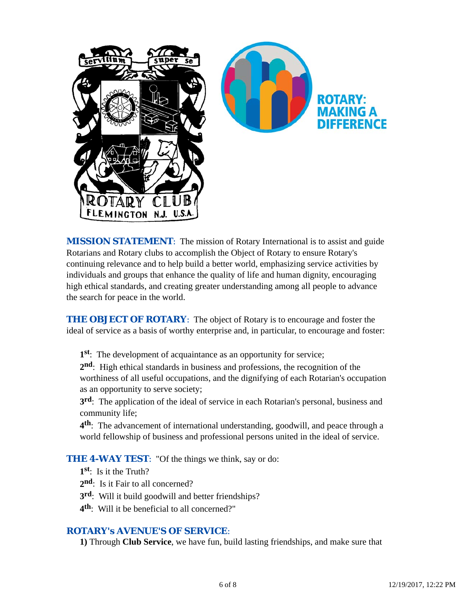

*MISSION STATEMENT*: The mission of Rotary International is to assist and guide Rotarians and Rotary clubs to accomplish the Object of Rotary to ensure Rotary's continuing relevance and to help build a better world, emphasizing service activities by individuals and groups that enhance the quality of life and human dignity, encouraging high ethical standards, and creating greater understanding among all people to advance the search for peace in the world.

**THE OBJECT OF ROTARY:** The object of Rotary is to encourage and foster the ideal of service as a basis of worthy enterprise and, in particular, to encourage and foster:

**1st**: The development of acquaintance as an opportunity for service;

**2nd**: High ethical standards in business and professions, the recognition of the worthiness of all useful occupations, and the dignifying of each Rotarian's occupation as an opportunity to serve society;

**3rd**: The application of the ideal of service in each Rotarian's personal, business and community life;

**4th**: The advancement of international understanding, goodwill, and peace through a world fellowship of business and professional persons united in the ideal of service.

**THE 4-WAY TEST:** "Of the things we think, say or do:

- **1st**: Is it the Truth?
- 2<sup>nd</sup>: Is it Fair to all concerned?
- **3rd**: Will it build goodwill and better friendships?
- **4th**: Will it be beneficial to all concerned?"

### *ROTARY's AVENUE'S OF SERVICE*:

**1)** Through **Club Service**, we have fun, build lasting friendships, and make sure that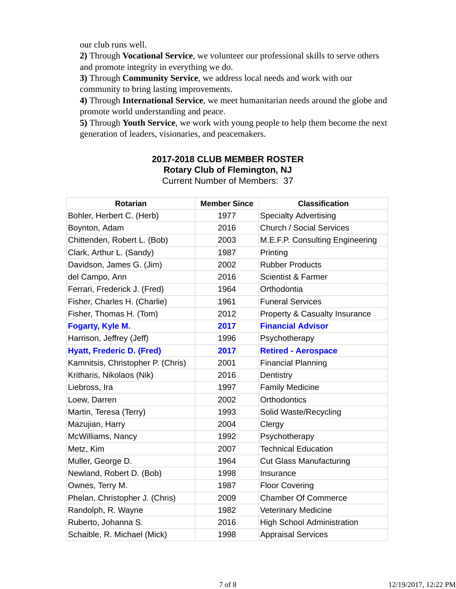our club runs well.

**2)** Through **Vocational Service**, we volunteer our professional skills to serve others and promote integrity in everything we do.

**3)** Through **Community Service**, we address local needs and work with our community to bring lasting improvements.

**4)** Through **International Service**, we meet humanitarian needs around the globe and promote world understanding and peace.

**5)** Through **Youth Service**, we work with young people to help them become the next generation of leaders, visionaries, and peacemakers.

## **2017-2018 CLUB MEMBER ROSTER Rotary Club of Flemington, NJ**

|  |  |  | <b>Current Number of Members: 37</b> |  |
|--|--|--|--------------------------------------|--|
|--|--|--|--------------------------------------|--|

| <b>Rotarian</b>                   | <b>Member Since</b> | <b>Classification</b>                    |
|-----------------------------------|---------------------|------------------------------------------|
| Bohler, Herbert C. (Herb)         | 1977                | <b>Specialty Advertising</b>             |
| Boynton, Adam                     | 2016                | <b>Church / Social Services</b>          |
| Chittenden, Robert L. (Bob)       | 2003                | M.E.F.P. Consulting Engineering          |
| Clark, Arthur L. (Sandy)          | 1987                | Printing                                 |
| Davidson, James G. (Jim)          | 2002                | <b>Rubber Products</b>                   |
| del Campo, Ann                    | 2016                | <b>Scientist &amp; Farmer</b>            |
| Ferrari, Frederick J. (Fred)      | 1964                | Orthodontia                              |
| Fisher, Charles H. (Charlie)      | 1961                | <b>Funeral Services</b>                  |
| Fisher, Thomas H. (Tom)           | 2012                | <b>Property &amp; Casualty Insurance</b> |
| Fogarty, Kyle M.                  | 2017                | <b>Financial Advisor</b>                 |
| Harrison, Jeffrey (Jeff)          | 1996                | Psychotherapy                            |
| <b>Hyatt, Frederic D. (Fred)</b>  | 2017                | <b>Retired - Aerospace</b>               |
| Kamnitsis, Christopher P. (Chris) | 2001                | <b>Financial Planning</b>                |
| Kritharis, Nikolaos (Nik)         | 2016                | Dentistry                                |
| Liebross, Ira                     | 1997                | <b>Family Medicine</b>                   |
| Loew, Darren                      | 2002                | <b>Orthodontics</b>                      |
| Martin, Teresa (Terry)            | 1993                | Solid Waste/Recycling                    |
| Mazujian, Harry                   | 2004                | Clergy                                   |
| McWilliams, Nancy                 | 1992                | Psychotherapy                            |
| Metz, Kim                         | 2007                | <b>Technical Education</b>               |
| Muller, George D.                 | 1964                | <b>Cut Glass Manufacturing</b>           |
| Newland, Robert D. (Bob)          | 1998                | Insurance                                |
| Ownes, Terry M.                   | 1987                | <b>Floor Covering</b>                    |
| Phelan, Christopher J. (Chris)    | 2009                | <b>Chamber Of Commerce</b>               |
| Randolph, R. Wayne                | 1982                | <b>Veterinary Medicine</b>               |
| Ruberto, Johanna S.               | 2016                | <b>High School Administration</b>        |
| Schaible, R. Michael (Mick)       | 1998                | <b>Appraisal Services</b>                |